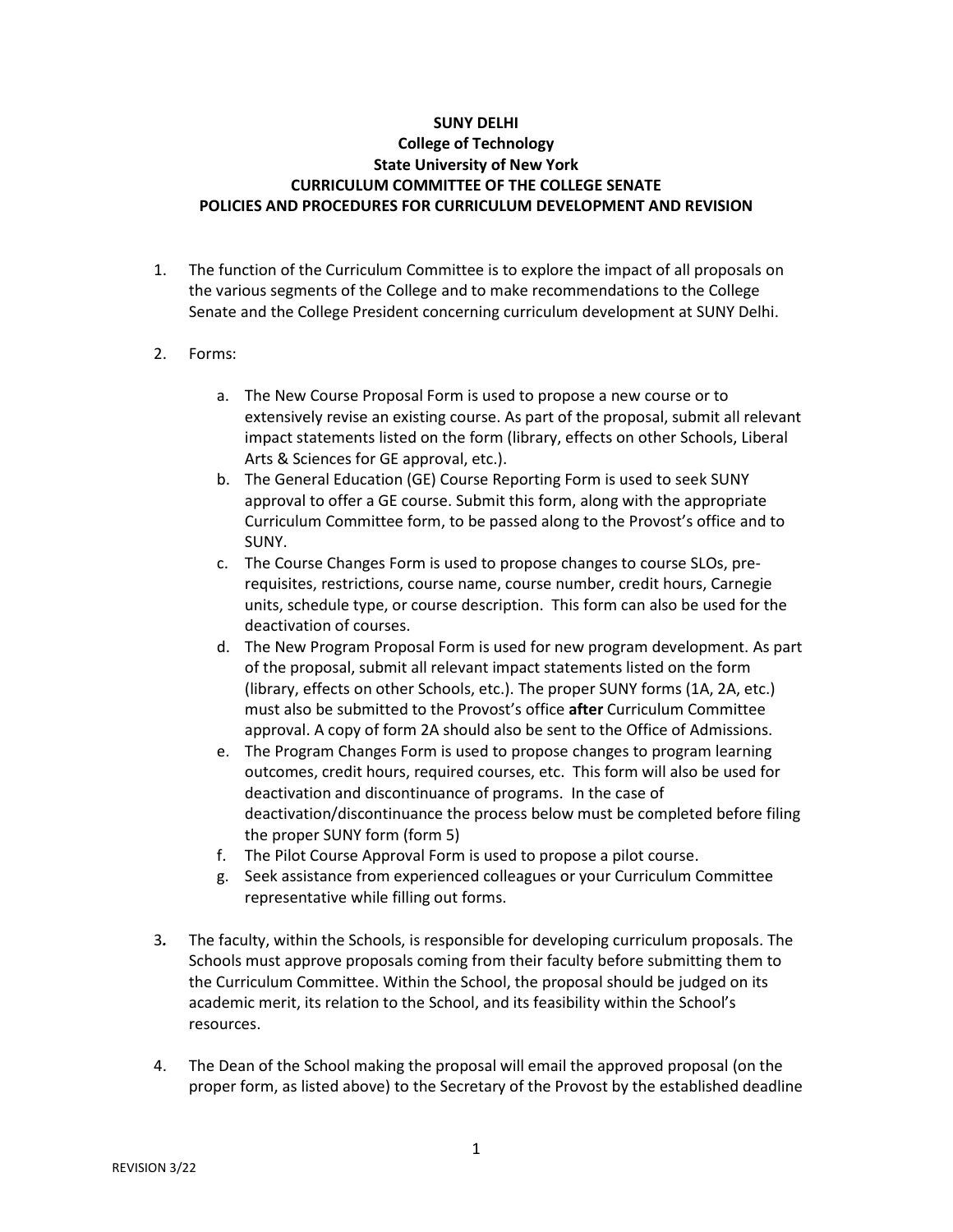## **SUNY DELHI**

## **College of Technology State University of New York CURRICULUM COMMITTEE OF THE COLLEGE SENATE POLICIES AND PROCEDURES FOR CURRICULUM DEVELOPMENT AND REVISION**

- 1. The function of the Curriculum Committee is to explore the impact of all proposals on the various segments of the College and to make recommendations to the College Senate and the College President concerning curriculum development at SUNY Delhi.
- 2. Forms:
	- a. The New Course Proposal Form is used to propose a new course or to extensively revise an existing course. As part of the proposal, submit all relevant impact statements listed on the form (library, effects on other Schools, Liberal Arts & Sciences for GE approval, etc.).
	- b. The General Education (GE) Course Reporting Form is used to seek SUNY approval to offer a GE course. Submit this form, along with the appropriate Curriculum Committee form, to be passed along to the Provost's office and to SUNY.
	- c. The Course Changes Form is used to propose changes to course SLOs, prerequisites, restrictions, course name, course number, credit hours, Carnegie units, schedule type, or course description. This form can also be used for the deactivation of courses.
	- d. The New Program Proposal Form is used for new program development. As part of the proposal, submit all relevant impact statements listed on the form (library, effects on other Schools, etc.). The proper SUNY forms (1A, 2A, etc.) must also be submitted to the Provost's office **after** Curriculum Committee approval. A copy of form 2A should also be sent to the Office of Admissions.
	- e. The Program Changes Form is used to propose changes to program learning outcomes, credit hours, required courses, etc. This form will also be used for deactivation and discontinuance of programs. In the case of deactivation/discontinuance the process below must be completed before filing the proper SUNY form (form 5)
	- f. The Pilot Course Approval Form is used to propose a pilot course.
	- g. Seek assistance from experienced colleagues or your Curriculum Committee representative while filling out forms.
- 3*.* The faculty, within the Schools, is responsible for developing curriculum proposals. The Schools must approve proposals coming from their faculty before submitting them to the Curriculum Committee. Within the School, the proposal should be judged on its academic merit, its relation to the School, and its feasibility within the School's resources.
- 4. The Dean of the School making the proposal will email the approved proposal (on the proper form, as listed above) to the Secretary of the Provost by the established deadline